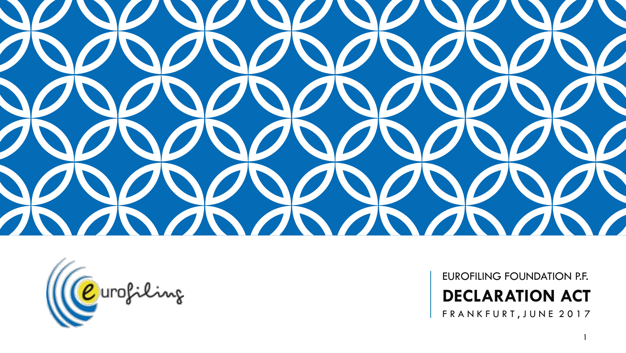



EUROFILING FOUNDATION P.F. **DECLARATION ACT** FRANKFURT, JUNE 2017

1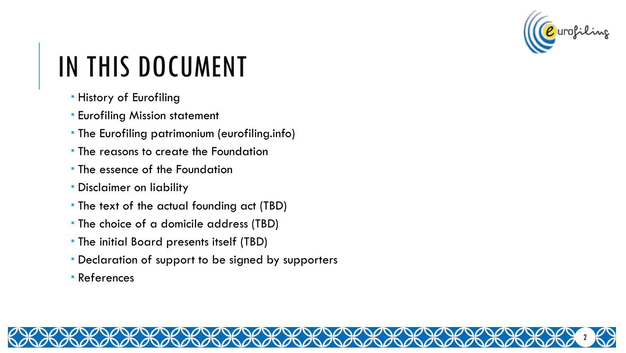

# IN THIS DOCUMENT

- **History of Eurofiling**
- **Eurofiling Mission statement**
- The Eurofiling patrimonium (eurofiling.info)
- **The reasons to create the Foundation**
- The essence of the Foundation
- Disclaimer on liability
- The text of the actual founding act (TBD)
- The choice of a domicile address (TBD)
- The initial Board presents itself (TBD)
- Declaration of support to be signed by supporters
- References

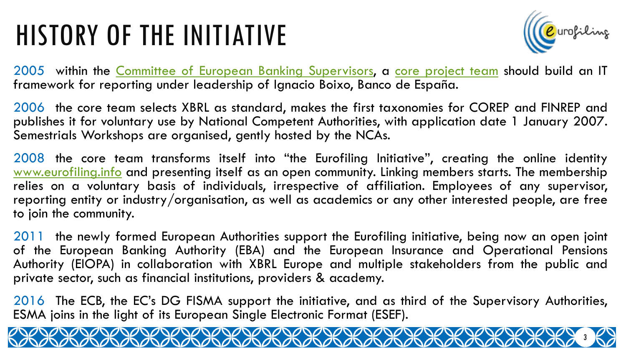### HISTORY OF THE INITIATIVE



3

2005 within the Committee of European Banking [Supervisors](http://eurofiling.info/201506/presentations/20150603WelcomeWordsEurofiling.pdf), a core [project](http://eurofiling.info/1st_workshop/presentations/CX-001COREPXBRLinvitation.pdf) team should build an IT framework for reporting under leadership of Ignacio Boixo, Banco de España.

2006 the core team selects XBRL as standard, makes the first taxonomies for COREP and FINREP and publishes it for voluntary use by National Competent Authorities, with application date 1 January 2007. Semestrials Workshops are organised, gently hosted by the NCAs.

2008 the core team transforms itself into "the Eurofiling Initiative", creating the online identity [www.eurofiling.info](http://www.eurofiling.info/) and presenting itself as an open community. Linking members starts. The membership relies on a voluntary basis of individuals, irrespective of affiliation. Employees of any supervisor, reporting entity or industry/organisation, as well as academics or any other interested people, are free to join the community.

2011 the newly formed European Authorities support the Eurofiling initiative, being now an open joint of the European Banking Authority (EBA) and the European Insurance and Operational Pensions Authority (EIOPA) in collaboration with XBRL Europe and multiple stakeholders from the public and private sector, such as financial institutions, providers & academy.

2016 The ECB, the EC's DG FISMA support the initiative, and as third of the Supervisory Authorities, ESMA joins in the light of its European Single Electronic Format (ESEF).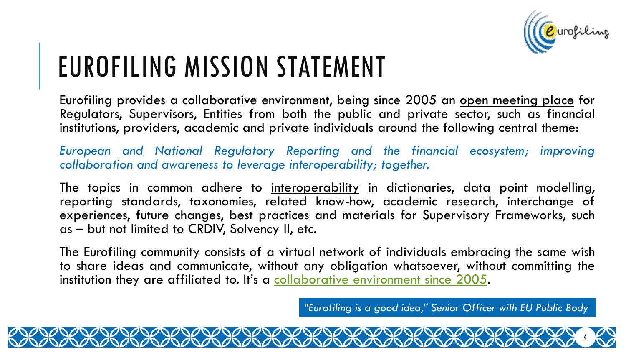

## EUROFILING MISSION STATEMENT

Eurofiling provides a collaborative environment, being since 2005 an open meeting place for Regulators, Supervisors, Entities from both the public and private sector, such as financial institutions, providers, academic and private individuals around the following central theme:

*European and National Regulatory Reporting and the financial ecosystem; improving collaboration and awareness to leverage interoperability; together.*

The topics in common adhere to interoperability in dictionaries, data point modelling, reporting standards, taxonomies, related know-how, academic research, interchange of experiences, future changes, best practices and materials for Supervisory Frameworks, such as – but not limited to CRDIV, Solvency II, etc.

The Eurofiling community consists of a virtual network of individuals embracing the same wish to share ideas and communicate, without any obligation whatsoever, without committing the institution they are affiliated to. It's a [collaborative](http://eurofiling.info/1st_workshop/1st_workshop.shtml) environment since 2005.

DARADARADARADARADARA

*"Eurofiling is a good idea," Senior Officer with EU Public Body*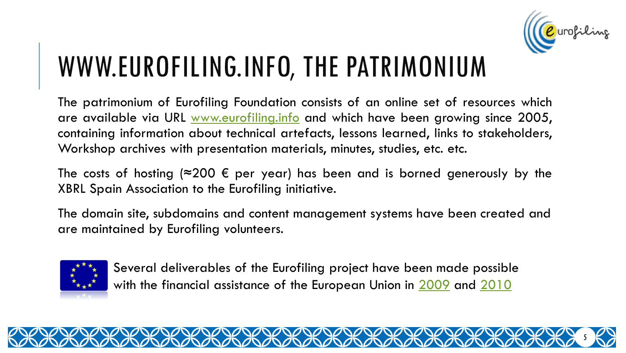

## WWW.EUROFILING.INFO, THE PATRIMONIUM

The patrimonium of Eurofiling Foundation consists of an online set of resources which are available via URL [www.eurofiling.info](http://www.eurofiling.info/) and which have been growing since 2005, containing information about technical artefacts, lessons learned, links to stakeholders, Workshop archives with presentation materials, minutes, studies, etc. etc.

The costs of hosting ( $\approx$ 200 € per year) has been and is borned generously by the XBRL Spain Association to the Eurofiling initiative.

The domain site, subdomains and content management systems have been created and are maintained by Eurofiling volunteers.



Several deliverables of the Eurofiling project have been made possible with the financial assistance of the European Union in [2009](http://eurofiling.info/documents/QuoteCEBS-XBRLSpain-2009.pdf) and [2010](http://eurofiling.info/documents/QuoteCEBS-XBRLSpain-2010.pdf)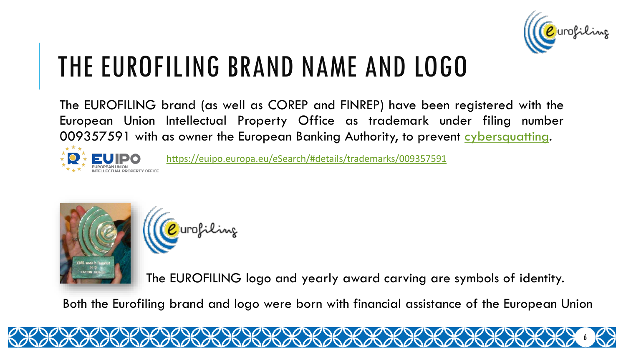

### THE EUROFILING BRAND NAME AND LOGO

The EUROFILING brand (as well as COREP and FINREP) have been registered with the European Union Intellectual Property Office as trademark under filing number 009357591 with as owner the European Banking Authority, to prevent [cybersquatting.](https://en.wikipedia.org/wiki/Cybersquatting)



<https://euipo.europa.eu/eSearch/#details/trademarks/009357591>



<mark>)</mark> urofilinz

The EUROFILING logo and yearly award carving are symbols of identity.

Both the Eurofiling brand and logo were born with financial assistance of the European Union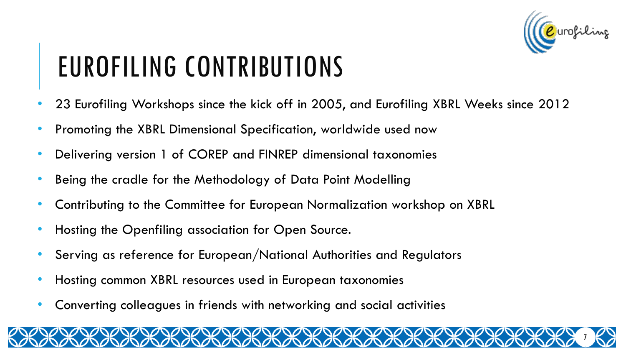

# EUROFILING CONTRIBUTIONS

- 23 Eurofiling Workshops since the kick off in 2005, and Eurofiling XBRL Weeks since 2012
- Promoting the XBRL Dimensional Specification, worldwide used now
- Delivering version 1 of COREP and FINREP dimensional taxonomies
- Being the cradle for the Methodology of Data Point Modelling
- Contributing to the Committee for European Normalization workshop on XBRL
- Hosting the Openfiling association for Open Source.
- Serving as reference for European/National Authorities and Regulators
- Hosting common XBRL resources used in European taxonomies
- Converting colleagues in friends with networking and social activities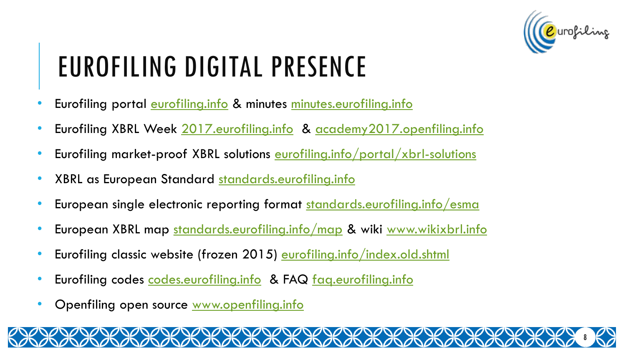

# EUROFILING DIGITAL PRESENCE

- Eurofiling portal <u>[eurofiling.info](http://eurofiling.info/portal/)</u> & minutes [minutes.eurofiling.info](http://minutes.eurofiling.info/)
- Eurofiling XBRL Week [2017.eurofiling.info](http://www.2017.eurofiling.info/) & [academy2017.openfiling.info](http://academy2017.openfiling.info/)
- Eurofiling market-proof XBRL solutions <u>[eurofiling.info/portal/xbrl-solutions](http://eurofiling.info/portal/xbrl-solutions/)</u>
- XBRL as European Standard [standards.eurofiling.info](http://standards.eurofiling.info/)
- European single electronic reporting format [standards.eurofiling.info/esma](http://standards.eurofiling.info/esma/)
- European XBRL map <u>[standards.eurofiling.info/map](http://standards.eurofiling.info/map/)</u> & wiki <u>[www.wikixbrl.info](http://www.wikixbrl.info/)</u>
- Eurofiling classic website (frozen 2015) [eurofiling.info/index.old.shtml](http://eurofiling.info/index.old.shtml)
- Eurofiling codes [codes.eurofiling.info](http://codes.eurofiling.info/) & FAQ [faq.eurofiling.info](http://faq.eurofiling.info/)
- Openfiling open source [www.openfiling.info](http://www.openfiling.info/)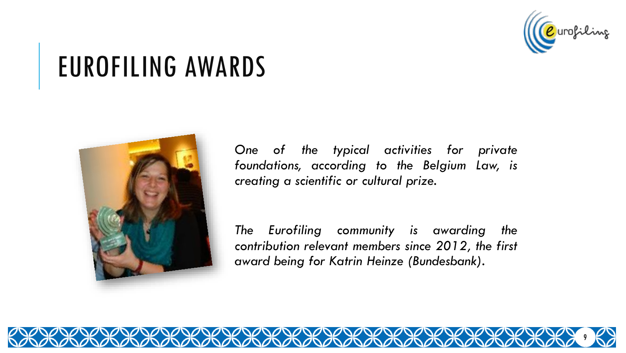

### EUROFILING AWARDS



*One of the typical activities for private foundations, according to the Belgium Law, is creating a scientific or cultural prize.*

*The Eurofiling community is awarding the contribution relevant members since 2012, the first award being for Katrin Heinze (Bundesbank).*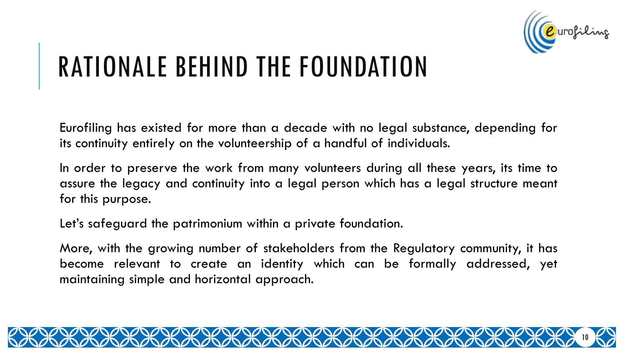

## RATIONALE BEHIND THE FOUNDATION

Eurofiling has existed for more than a decade with no legal substance, depending for its continuity entirely on the volunteership of a handful of individuals.

In order to preserve the work from many volunteers during all these years, its time to assure the legacy and continuity into a legal person which has a legal structure meant for this purpose.

Let's safeguard the patrimonium within a private foundation.

More, with the growing number of stakeholders from the Regulatory community, it has become relevant to create an identity which can be formally addressed, yet maintaining simple and horizontal approach.

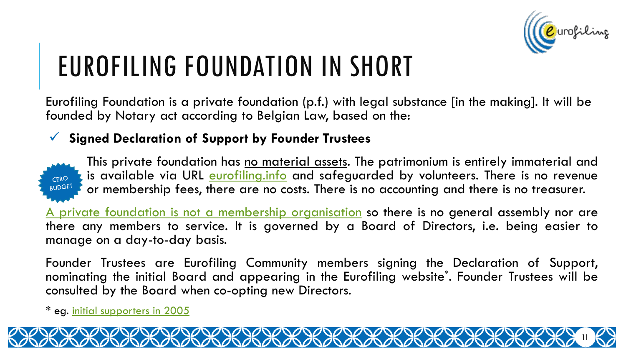

# EUROFILING FOUNDATION IN SHORT

Eurofiling Foundation is a private foundation (p.f.) with legal substance [in the making]. It will be founded by Notary act according to Belgian Law, based on the:

#### **Signed Declaration of Support by Founder Trustees**



This private foundation has no material assets. The patrimonium is entirely immaterial and is available via URL [eurofiling.info](http://eurofiling.info/) and safeguarded by volunteers. There is no revenue or membership fees, there are no costs. There is no accounting and there is no treasurer.

A private foundation is not a membership [organisation](http://localknowledge.be/services-2/ngo/set-up-a-private-foundation/) so there is no general assembly nor are there any members to service. It is governed by a Board of Directors, i.e. being easier to manage on a day-to-day basis.

Founder Trustees are Eurofiling Community members signing the Declaration of Support, nominating the initial Board and appearing in the Eurofiling website\* . Founder Trustees will be consulted by the Board when co-opting new Directors.

DADADADADADADAD

<sup>\*</sup> eg. initial [supporters](http://eurofiling.info/about_us/supporters.shtml) in 2005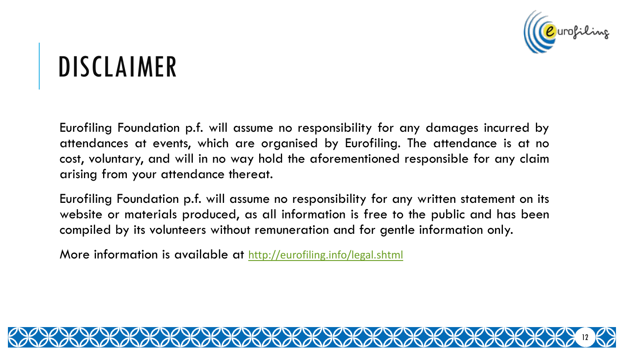

#### DISCLAIMER

Eurofiling Foundation p.f. will assume no responsibility for any damages incurred by attendances at events, which are organised by Eurofiling. The attendance is at no cost, voluntary, and will in no way hold the aforementioned responsible for any claim arising from your attendance thereat.

Eurofiling Foundation p.f. will assume no responsibility for any written statement on its website or materials produced, as all information is free to the public and has been compiled by its volunteers without remuneration and for gentle information only.

More information is available at <http://eurofiling.info/legal.shtml>

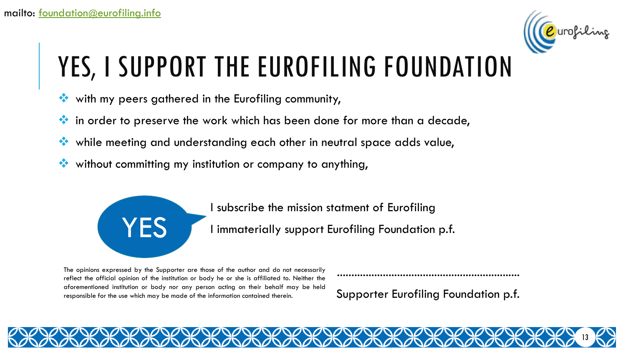

- with my peers gathered in the Eurofiling community,
- $\mathbf{\hat{B}}$  in order to preserve the work which has been done for more than a decade,
- while meeting and understanding each other in neutral space adds value,
- without committing my institution or company to anything,



I subscribe the mission statment of Eurofiling

I immaterially support Eurofiling Foundation p.f.

The opinions expressed by the Supporter are those of the author and do not necessarily reflect the official opinion of the institution or body he or she is affiliated to. Neither the aforementioned institution or body nor any person acting on their behalf may be held responsible for the use which may be made of the information contained therein.

Supporter Eurofiling Foundation p.f.

13

................................................................